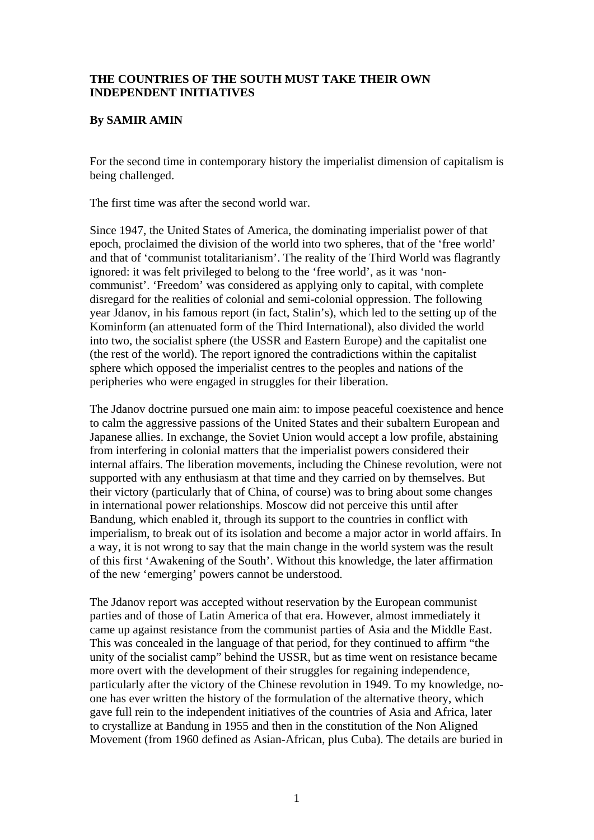## **THE COUNTRIES OF THE SOUTH MUST TAKE THEIR OWN INDEPENDENT INITIATIVES**

## **By SAMIR AMIN**

For the second time in contemporary history the imperialist dimension of capitalism is being challenged.

The first time was after the second world war.

Since 1947, the United States of America, the dominating imperialist power of that epoch, proclaimed the division of the world into two spheres, that of the 'free world' and that of 'communist totalitarianism'. The reality of the Third World was flagrantly ignored: it was felt privileged to belong to the 'free world', as it was 'noncommunist'. 'Freedom' was considered as applying only to capital, with complete disregard for the realities of colonial and semi-colonial oppression. The following year Jdanov, in his famous report (in fact, Stalin's), which led to the setting up of the Kominform (an attenuated form of the Third International), also divided the world into two, the socialist sphere (the USSR and Eastern Europe) and the capitalist one (the rest of the world). The report ignored the contradictions within the capitalist sphere which opposed the imperialist centres to the peoples and nations of the peripheries who were engaged in struggles for their liberation.

The Jdanov doctrine pursued one main aim: to impose peaceful coexistence and hence to calm the aggressive passions of the United States and their subaltern European and Japanese allies. In exchange, the Soviet Union would accept a low profile, abstaining from interfering in colonial matters that the imperialist powers considered their internal affairs. The liberation movements, including the Chinese revolution, were not supported with any enthusiasm at that time and they carried on by themselves. But their victory (particularly that of China, of course) was to bring about some changes in international power relationships. Moscow did not perceive this until after Bandung, which enabled it, through its support to the countries in conflict with imperialism, to break out of its isolation and become a major actor in world affairs. In a way, it is not wrong to say that the main change in the world system was the result of this first 'Awakening of the South'. Without this knowledge, the later affirmation of the new 'emerging' powers cannot be understood.

The Jdanov report was accepted without reservation by the European communist parties and of those of Latin America of that era. However, almost immediately it came up against resistance from the communist parties of Asia and the Middle East. This was concealed in the language of that period, for they continued to affirm "the unity of the socialist camp" behind the USSR, but as time went on resistance became more overt with the development of their struggles for regaining independence, particularly after the victory of the Chinese revolution in 1949. To my knowledge, noone has ever written the history of the formulation of the alternative theory, which gave full rein to the independent initiatives of the countries of Asia and Africa, later to crystallize at Bandung in 1955 and then in the constitution of the Non Aligned Movement (from 1960 defined as Asian-African, plus Cuba). The details are buried in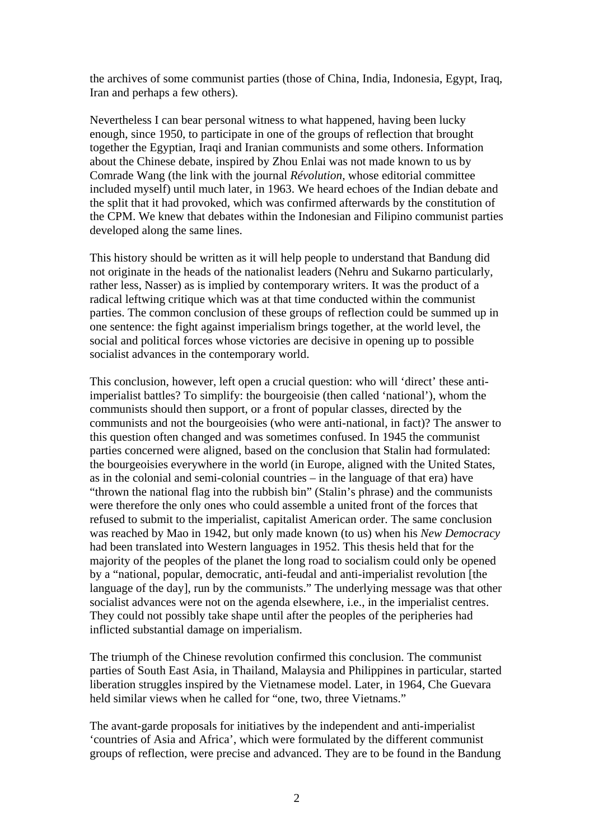the archives of some communist parties (those of China, India, Indonesia, Egypt, Iraq, Iran and perhaps a few others).

Nevertheless I can bear personal witness to what happened, having been lucky enough, since 1950, to participate in one of the groups of reflection that brought together the Egyptian, Iraqi and Iranian communists and some others. Information about the Chinese debate, inspired by Zhou Enlai was not made known to us by Comrade Wang (the link with the journal *Révolution,* whose editorial committee included myself) until much later, in 1963. We heard echoes of the Indian debate and the split that it had provoked, which was confirmed afterwards by the constitution of the CPM. We knew that debates within the Indonesian and Filipino communist parties developed along the same lines.

This history should be written as it will help people to understand that Bandung did not originate in the heads of the nationalist leaders (Nehru and Sukarno particularly, rather less, Nasser) as is implied by contemporary writers. It was the product of a radical leftwing critique which was at that time conducted within the communist parties. The common conclusion of these groups of reflection could be summed up in one sentence: the fight against imperialism brings together, at the world level, the social and political forces whose victories are decisive in opening up to possible socialist advances in the contemporary world.

This conclusion, however, left open a crucial question: who will 'direct' these antiimperialist battles? To simplify: the bourgeoisie (then called 'national'), whom the communists should then support, or a front of popular classes, directed by the communists and not the bourgeoisies (who were anti-national, in fact)? The answer to this question often changed and was sometimes confused. In 1945 the communist parties concerned were aligned, based on the conclusion that Stalin had formulated: the bourgeoisies everywhere in the world (in Europe, aligned with the United States, as in the colonial and semi-colonial countries – in the language of that era) have "thrown the national flag into the rubbish bin" (Stalin's phrase) and the communists were therefore the only ones who could assemble a united front of the forces that refused to submit to the imperialist, capitalist American order. The same conclusion was reached by Mao in 1942, but only made known (to us) when his *New Democracy*  had been translated into Western languages in 1952. This thesis held that for the majority of the peoples of the planet the long road to socialism could only be opened by a "national, popular, democratic, anti-feudal and anti-imperialist revolution [the language of the day], run by the communists." The underlying message was that other socialist advances were not on the agenda elsewhere, i.e., in the imperialist centres. They could not possibly take shape until after the peoples of the peripheries had inflicted substantial damage on imperialism.

The triumph of the Chinese revolution confirmed this conclusion. The communist parties of South East Asia, in Thailand, Malaysia and Philippines in particular, started liberation struggles inspired by the Vietnamese model. Later, in 1964, Che Guevara held similar views when he called for "one, two, three Vietnams."

The avant-garde proposals for initiatives by the independent and anti-imperialist 'countries of Asia and Africa', which were formulated by the different communist groups of reflection, were precise and advanced. They are to be found in the Bandung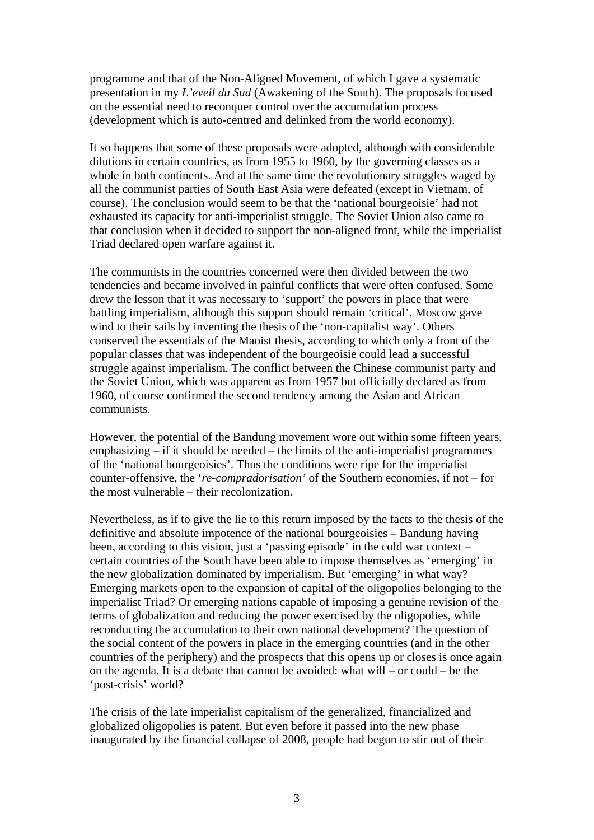programme and that of the Non-Aligned Movement, of which I gave a systematic presentation in my *L'eveil du Sud* (Awakening of the South). The proposals focused on the essential need to reconquer control over the accumulation process (development which is auto-centred and delinked from the world economy).

It so happens that some of these proposals were adopted, although with considerable dilutions in certain countries, as from 1955 to 1960, by the governing classes as a whole in both continents. And at the same time the revolutionary struggles waged by all the communist parties of South East Asia were defeated (except in Vietnam, of course). The conclusion would seem to be that the 'national bourgeoisie' had not exhausted its capacity for anti-imperialist struggle. The Soviet Union also came to that conclusion when it decided to support the non-aligned front, while the imperialist Triad declared open warfare against it.

The communists in the countries concerned were then divided between the two tendencies and became involved in painful conflicts that were often confused. Some drew the lesson that it was necessary to 'support' the powers in place that were battling imperialism, although this support should remain 'critical'. Moscow gave wind to their sails by inventing the thesis of the 'non-capitalist way'. Others conserved the essentials of the Maoist thesis, according to which only a front of the popular classes that was independent of the bourgeoisie could lead a successful struggle against imperialism. The conflict between the Chinese communist party and the Soviet Union, which was apparent as from 1957 but officially declared as from 1960, of course confirmed the second tendency among the Asian and African communists.

However, the potential of the Bandung movement wore out within some fifteen years, emphasizing – if it should be needed – the limits of the anti-imperialist programmes of the 'national bourgeoisies'. Thus the conditions were ripe for the imperialist counter-offensive, the '*re-compradorisation'* of the Southern economies, if not – for the most vulnerable – their recolonization.

Nevertheless, as if to give the lie to this return imposed by the facts to the thesis of the definitive and absolute impotence of the national bourgeoisies – Bandung having been, according to this vision, just a 'passing episode' in the cold war context – certain countries of the South have been able to impose themselves as 'emerging' in the new globalization dominated by imperialism. But 'emerging' in what way? Emerging markets open to the expansion of capital of the oligopolies belonging to the imperialist Triad? Or emerging nations capable of imposing a genuine revision of the terms of globalization and reducing the power exercised by the oligopolies, while reconducting the accumulation to their own national development? The question of the social content of the powers in place in the emerging countries (and in the other countries of the periphery) and the prospects that this opens up or closes is once again on the agenda. It is a debate that cannot be avoided: what will – or could – be the 'post-crisis' world?

The crisis of the late imperialist capitalism of the generalized, financialized and globalized oligopolies is patent. But even before it passed into the new phase inaugurated by the financial collapse of 2008, people had begun to stir out of their